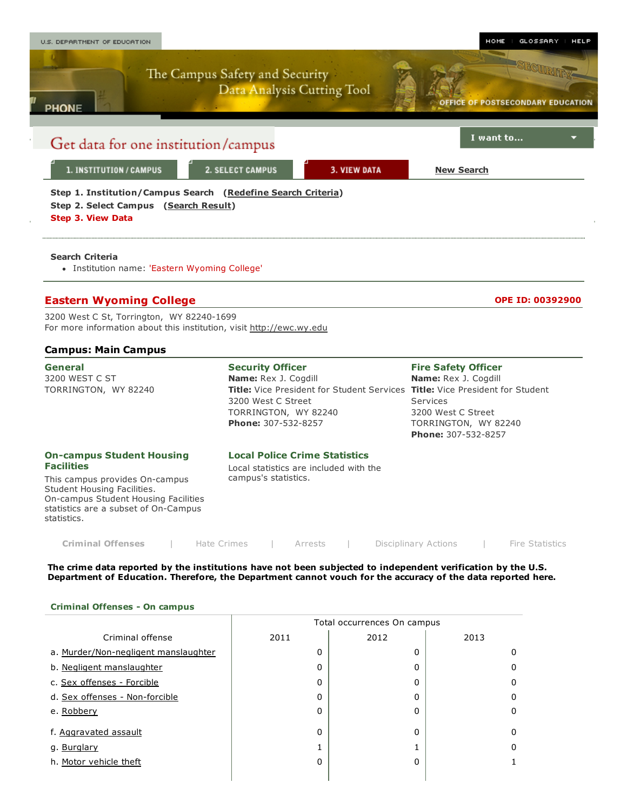

| <b>Criminal Offenses</b> |  | Hate Crimes |  | Arrests |  | Disciplinary Actions |  | Fire Statistics |
|--------------------------|--|-------------|--|---------|--|----------------------|--|-----------------|
|--------------------------|--|-------------|--|---------|--|----------------------|--|-----------------|

The crime data reported by the institutions have not been subjected to independent verification by the U.S. Department of Education. Therefore, the Department cannot vouch for the accuracy of the data reported here.

### Criminal Offenses - On campus

|                                      |      | Total occurrences On campus |      |
|--------------------------------------|------|-----------------------------|------|
| Criminal offense                     | 2011 | 2012                        | 2013 |
| a. Murder/Non-negligent manslaughter | 0    | 0                           | O    |
| b. Negligent manslaughter            | 0    | 0                           |      |
| c. Sex offenses - Forcible           | 0    | 0                           | 0    |
| d. Sex offenses - Non-forcible       | 0    | 0                           |      |
| e. Robbery                           | 0    | 0                           |      |
| f. Aggravated assault                | 0    | 0                           | 0    |
| g. Burglary                          |      |                             |      |
| h. Motor vehicle theft               | 0    | 0                           |      |
|                                      |      |                             |      |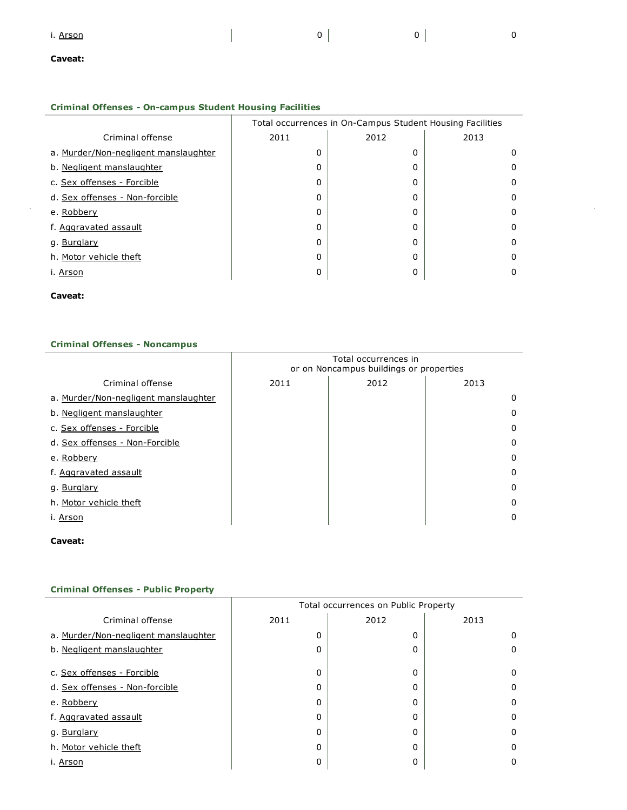### Criminal Offenses - On-campus Student Housing Facilities

|                                      | Total occurrences in On-Campus Student Housing Facilities |          |      |  |  |  |  |  |
|--------------------------------------|-----------------------------------------------------------|----------|------|--|--|--|--|--|
| Criminal offense                     | 2011                                                      | 2012     | 2013 |  |  |  |  |  |
| a. Murder/Non-negligent manslaughter | 0                                                         | O        | 0    |  |  |  |  |  |
| b. Negligent manslaughter            | 0                                                         | 0        | 0    |  |  |  |  |  |
| c. Sex offenses - Forcible           | 0                                                         | 0        | 0    |  |  |  |  |  |
| d. Sex offenses - Non-forcible       | 0                                                         | 0        | 0    |  |  |  |  |  |
| e. Robbery                           | 0                                                         | 0        | 0    |  |  |  |  |  |
| f. Aggravated assault                | 0                                                         | O        | 0    |  |  |  |  |  |
| g. Burglary                          | 0                                                         | 0        | 0    |  |  |  |  |  |
| h. Motor vehicle theft               | 0                                                         | $\Omega$ | 0    |  |  |  |  |  |
| i. Arson                             |                                                           | 0        | 0    |  |  |  |  |  |

### Caveat:

### Criminal Offenses - Noncampus

|                                      | Total occurrences in<br>or on Noncampus buildings or properties |      |      |  |  |  |  |  |
|--------------------------------------|-----------------------------------------------------------------|------|------|--|--|--|--|--|
| Criminal offense                     | 2011                                                            | 2012 | 2013 |  |  |  |  |  |
| a. Murder/Non-negligent manslaughter |                                                                 |      | 0    |  |  |  |  |  |
| b. Negligent manslaughter            |                                                                 |      | 0    |  |  |  |  |  |
| c. Sex offenses - Forcible           |                                                                 |      | 0    |  |  |  |  |  |
| d. Sex offenses - Non-Forcible       |                                                                 |      | 0    |  |  |  |  |  |
| e. Robbery                           |                                                                 |      | 0    |  |  |  |  |  |
| f. Aggravated assault                |                                                                 |      | 0    |  |  |  |  |  |
| g. Burglary                          |                                                                 |      | 0    |  |  |  |  |  |
| h. Motor vehicle theft               |                                                                 |      | 0    |  |  |  |  |  |
| i. Arson                             |                                                                 |      | 0    |  |  |  |  |  |

Caveat:

|                                      |          | Total occurrences on Public Property |      |
|--------------------------------------|----------|--------------------------------------|------|
| Criminal offense                     | 2011     | 2012                                 | 2013 |
| a. Murder/Non-negligent manslaughter | 0        | 0                                    | Ω    |
| b. Negligent manslaughter            | 0        | 0                                    |      |
|                                      |          |                                      |      |
| c. Sex offenses - Forcible           | 0        | 0                                    | 0    |
| d. Sex offenses - Non-forcible       | 0        | 0                                    | 0    |
| e. Robbery                           | $\Omega$ | 0                                    | 0    |
| f. Aggravated assault                | 0        | 0                                    | 0    |
| g. Burglary                          | 0        | 0                                    | 0    |
| h. Motor vehicle theft               | 0        | 0                                    | 0    |
| i. Arson                             | 0        | 0                                    |      |

## **Criminal Offenses - Public Property**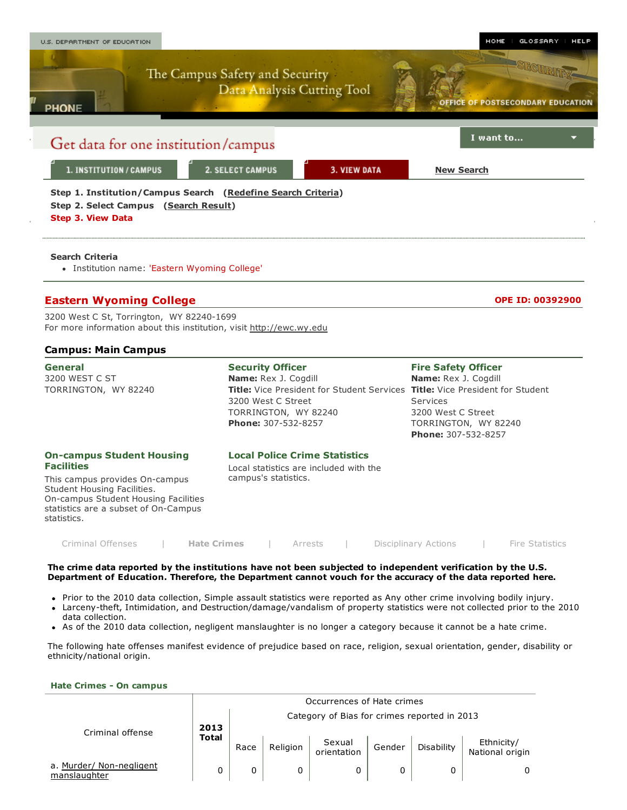

3200 West C St, Torrington, WY 82240-1699 For more information about this institution, visit [http://ewc.wy.edu](http://ewc.wy.edu/)

### Campus: Main Campus

| <b>General</b><br>3200 WEST C ST<br>TORRINGTON, WY 82240                                                                                                                                                              | <b>Security Officer</b><br>Name: Rex J. Cogdill<br><b>Title:</b> Vice President for Student Services <b>Title:</b> Vice President for Student<br>3200 West C Street<br>TORRINGTON, WY 82240<br><b>Phone: 307-532-8257</b> | <b>Fire Safety Officer</b><br>Name: Rex J. Cogdill<br>Services<br>3200 West C Street<br>TORRINGTON, WY 82240<br><b>Phone: 307-532-8257</b> |
|-----------------------------------------------------------------------------------------------------------------------------------------------------------------------------------------------------------------------|---------------------------------------------------------------------------------------------------------------------------------------------------------------------------------------------------------------------------|--------------------------------------------------------------------------------------------------------------------------------------------|
| <b>On-campus Student Housing</b><br><b>Facilities</b><br>This campus provides On-campus<br>Student Housing Facilities.<br>On-campus Student Housing Facilities<br>statistics are a subset of On-Campus<br>statistics. | <b>Local Police Crime Statistics</b><br>Local statistics are included with the<br>campus's statistics.                                                                                                                    |                                                                                                                                            |

The crime data reported by the institutions have not been subjected to independent verification by the U.S. Department of Education. Therefore, the Department cannot vouch for the accuracy of the data reported here.

Prior to the 2010 data collection, Simple assault statistics were reported as Any other crime involving bodily injury.

Criminal [Offenses](javascript:javascript:__doPostBack() | **Hate Crimes** | [Arrests](javascript:javascript:__doPostBack() | [Disciplinary](javascript:javascript:__doPostBack() Actions | Fire [Statistics](javascript:javascript:__doPostBack()

- Larceny-theft, Intimidation, and Destruction/damage/vandalism of property statistics were not collected prior to the 2010 data collection.
- As of the 2010 data collection, negligent manslaughter is no longer a category because it cannot be a hate crime.

The following hate offenses manifest evidence of prejudice based on race, religion, sexual orientation, gender, disability or ethnicity/national origin.

#### Hate Crimes - On campus

|                                          |              | Occurrences of Hate crimes |          |                                              |        |            |                               |  |  |  |  |
|------------------------------------------|--------------|----------------------------|----------|----------------------------------------------|--------|------------|-------------------------------|--|--|--|--|
|                                          | 2013         |                            |          | Category of Bias for crimes reported in 2013 |        |            |                               |  |  |  |  |
| Criminal offense                         | <b>Total</b> | Race                       | Religion | Sexual<br>orientation                        | Gender | Disability | Ethnicity/<br>National origin |  |  |  |  |
| a. Murder/ Non-negligent<br>manslaughter | 0            | 0                          | 0        |                                              | 0      |            | 0                             |  |  |  |  |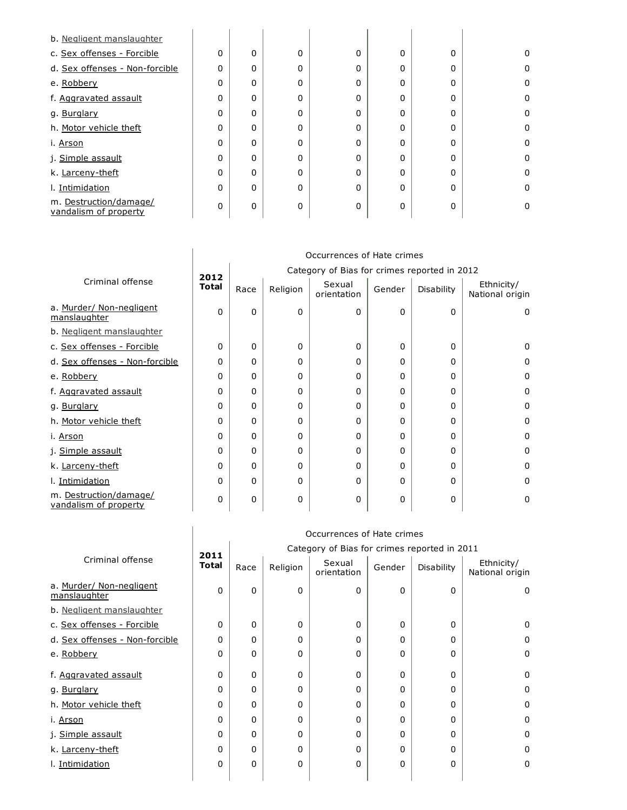| b. Negligent manslaughter                       |   |   |             |          |          |   |          |
|-------------------------------------------------|---|---|-------------|----------|----------|---|----------|
| c. Sex offenses - Forcible                      | 0 | 0 | $\Omega$    | $\Omega$ | 0        | 0 | 0        |
| d. Sex offenses - Non-forcible                  | 0 | 0 | $\Omega$    | 0        | $\Omega$ | 0 | $\Omega$ |
| e. Robbery                                      | 0 | 0 | $\Omega$    | 0        | $\Omega$ | 0 | 0        |
| f. Aggravated assault                           | 0 | 0 | $\Omega$    | 0        | 0        | 0 | $\Omega$ |
| g. Burglary                                     | 0 | 0 | $\Omega$    | 0        | 0        | 0 | $\Omega$ |
| h. Motor vehicle theft                          | 0 | 0 | $\Omega$    | 0        | $\Omega$ | 0 | 0        |
| i. Arson                                        | 0 | 0 | $\Omega$    | 0        | 0        | 0 | 0        |
| j. Simple assault                               | 0 | 0 | $\mathbf 0$ | 0        | $\Omega$ | 0 | 0        |
| k. Larceny-theft                                | 0 | 0 | $\Omega$    | 0        | $\Omega$ | 0 | 0        |
| I. Intimidation                                 | 0 | 0 | $\Omega$    | 0        | $\Omega$ | 0 | 0        |
| m. Destruction/damage/<br>vandalism of property | 0 | 0 | $\Omega$    | 0        | $\Omega$ | 0 | 0        |

|                                                 | Occurrences of Hate crimes |                                              |          |                       |              |            |                               |  |  |  |  |
|-------------------------------------------------|----------------------------|----------------------------------------------|----------|-----------------------|--------------|------------|-------------------------------|--|--|--|--|
|                                                 | 2012                       | Category of Bias for crimes reported in 2012 |          |                       |              |            |                               |  |  |  |  |
| Criminal offense                                | <b>Total</b>               | Race                                         | Religion | Sexual<br>orientation | Gender       | Disability | Ethnicity/<br>National origin |  |  |  |  |
| a. Murder/ Non-negligent<br>manslaughter        | 0                          | 0                                            | $\Omega$ | 0                     | $\Omega$     | 0          | $\Omega$                      |  |  |  |  |
| b. Negligent manslaughter                       |                            |                                              |          |                       |              |            |                               |  |  |  |  |
| c. Sex offenses - Forcible                      | 0                          | 0                                            | 0        | 0                     | 0            | 0          | 0                             |  |  |  |  |
| d. Sex offenses - Non-forcible                  | 0                          | 0                                            | 0        | 0                     | 0            | 0          | 0                             |  |  |  |  |
| e. Robbery                                      | 0                          | 0                                            | $\Omega$ | 0                     | $\Omega$     | 0          | 0                             |  |  |  |  |
| f. Aggravated assault                           | 0                          | 0                                            | 0        | 0                     | 0            | 0          | $\Omega$                      |  |  |  |  |
| g. Burglary                                     | 0                          | 0                                            | $\Omega$ | 0                     | 0            | 0          | $\Omega$                      |  |  |  |  |
| h. Motor vehicle theft                          | 0                          | 0                                            | 0        | 0                     | $\mathbf{0}$ | 0          | 0                             |  |  |  |  |
| i. Arson                                        | 0                          | 0                                            | $\Omega$ | 0                     | 0            | 0          | 0                             |  |  |  |  |
| j. Simple assault                               | 0                          | 0                                            | $\Omega$ | 0                     | 0            | 0          | 0                             |  |  |  |  |
| k. Larceny-theft                                | 0                          | 0                                            | $\Omega$ | $\Omega$              | $\mathbf{0}$ | 0          | 0                             |  |  |  |  |
| I. Intimidation                                 | 0                          | 0                                            | $\Omega$ | 0                     | $\mathbf{0}$ | 0          | $\Omega$                      |  |  |  |  |
| m. Destruction/damage/<br>vandalism of property | 0                          | 0                                            | 0        | 0                     | 0            | 0          | 0                             |  |  |  |  |

|                                          | Occurrences of Hate crimes |                                              |          |                       |          |            |                               |  |  |  |
|------------------------------------------|----------------------------|----------------------------------------------|----------|-----------------------|----------|------------|-------------------------------|--|--|--|
|                                          | 2011                       | Category of Bias for crimes reported in 2011 |          |                       |          |            |                               |  |  |  |
| Criminal offense                         | <b>Total</b>               | Race                                         | Religion | Sexual<br>orientation | Gender   | Disability | Ethnicity/<br>National origin |  |  |  |
| a. Murder/ Non-negligent<br>manslaughter | 0                          | 0                                            | $\Omega$ | 0                     | 0        | 0          | $\Omega$                      |  |  |  |
| b. Negligent manslaughter                |                            |                                              |          |                       |          |            |                               |  |  |  |
| c. Sex offenses - Forcible               | $\Omega$                   | 0                                            | $\Omega$ | O                     | 0        | 0          | $\Omega$                      |  |  |  |
| d. Sex offenses - Non-forcible           | 0                          | 0                                            | $\Omega$ | 0                     | 0        | 0          | 0                             |  |  |  |
| e. Robbery                               | 0                          | 0                                            | 0        | 0                     | 0        | 0          | 0                             |  |  |  |
| f. Aggravated assault                    | 0                          | 0                                            | $\Omega$ | 0                     | 0        | 0          | 0                             |  |  |  |
| g. Burglary                              | 0                          | 0                                            | 0        | 0                     | 0        | 0          | $\Omega$                      |  |  |  |
| h. Motor vehicle theft                   | 0                          | 0                                            | $\Omega$ | 0                     | 0        | 0          | 0                             |  |  |  |
| i. <u>Arson</u>                          | 0                          | 0                                            | 0        | 0                     | $\Omega$ | 0          | 0                             |  |  |  |
| j. Simple assault                        | 0                          | 0                                            | 0        | 0                     | 0        | 0          | 0                             |  |  |  |
| k. Larceny-theft                         | 0                          | 0                                            | 0        | 0                     | 0        | 0          | 0                             |  |  |  |
| I. Intimidation                          | 0                          | 0                                            | 0        | 0                     | 0        | 0          | $\Omega$                      |  |  |  |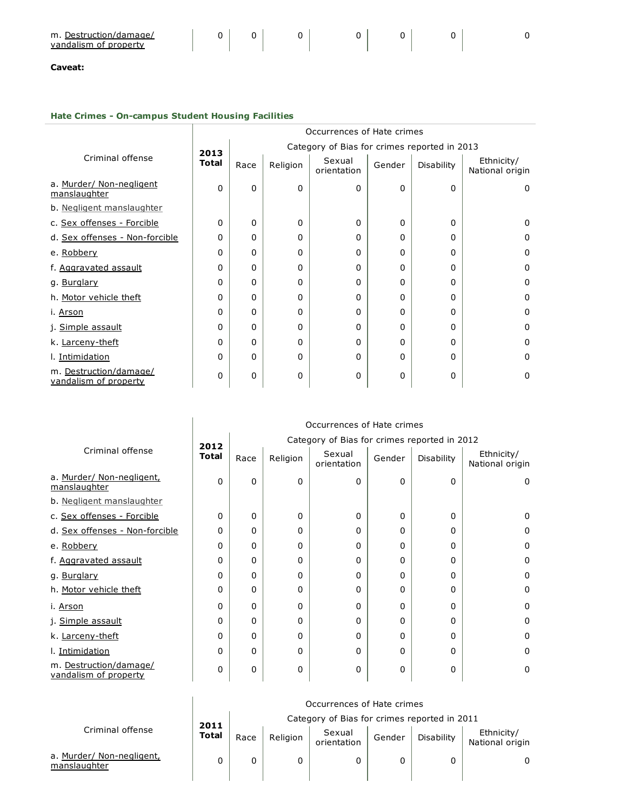| $m.$ L<br>Destruction/damage/ |  |  |  |  |
|-------------------------------|--|--|--|--|
| vandalism of property         |  |  |  |  |

# Hate Crimes - On-campus Student Housing Facilities

|                                                 | Occurrences of Hate crimes |                                              |          |                       |              |            |                               |  |  |  |
|-------------------------------------------------|----------------------------|----------------------------------------------|----------|-----------------------|--------------|------------|-------------------------------|--|--|--|
|                                                 | 2013                       | Category of Bias for crimes reported in 2013 |          |                       |              |            |                               |  |  |  |
| Criminal offense                                | <b>Total</b>               | Race                                         | Religion | Sexual<br>orientation | Gender       | Disability | Ethnicity/<br>National origin |  |  |  |
| a. Murder/ Non-negligent<br>manslaughter        | 0                          | 0                                            | $\Omega$ | 0                     | 0            | 0          | $\Omega$                      |  |  |  |
| b. Negligent manslaughter                       |                            |                                              |          |                       |              |            |                               |  |  |  |
| c. Sex offenses - Forcible                      | 0                          | 0                                            | $\Omega$ | 0                     | 0            | 0          | $\Omega$                      |  |  |  |
| d. Sex offenses - Non-forcible                  | 0                          | 0                                            | $\Omega$ | 0                     | 0            | 0          | 0                             |  |  |  |
| e. Robbery                                      | 0                          | 0                                            | 0        | 0                     | 0            | 0          | 0                             |  |  |  |
| f. Aggravated assault                           | 0                          | 0                                            | 0        | 0                     | 0            | 0          | 0                             |  |  |  |
| g. Burglary                                     | 0                          | 0                                            | 0        | 0                     | $\mathbf{0}$ | 0          | 0                             |  |  |  |
| h. Motor vehicle theft                          | 0                          | 0                                            | 0        | 0                     | $\mathbf{0}$ | 0          | 0                             |  |  |  |
| i. Arson                                        | 0                          | 0                                            | $\Omega$ | 0                     | $\mathbf{0}$ | 0          | 0                             |  |  |  |
| j. Simple assault                               | 0                          | 0                                            | $\Omega$ | 0                     | $\mathbf{0}$ | 0          | 0                             |  |  |  |
| k. Larceny-theft                                | 0                          | 0                                            | $\Omega$ | 0                     | 0            | 0          | 0                             |  |  |  |
| I. Intimidation                                 | 0                          | 0                                            | 0        | 0                     | $\mathbf{0}$ | 0          | $\Omega$                      |  |  |  |
| m. Destruction/damage/<br>vandalism of property | 0                          | 0                                            | 0        | 0                     | 0            | 0          | 0                             |  |  |  |

|                                                 | Occurrences of Hate crimes |                                              |          |                       |        |            |                               |  |  |
|-------------------------------------------------|----------------------------|----------------------------------------------|----------|-----------------------|--------|------------|-------------------------------|--|--|
|                                                 | 2012                       | Category of Bias for crimes reported in 2012 |          |                       |        |            |                               |  |  |
| Criminal offense                                | Total                      | Race                                         | Religion | Sexual<br>orientation | Gender | Disability | Ethnicity/<br>National origin |  |  |
| a. Murder/ Non-negligent,<br>manslaughter       | 0                          | $\Omega$                                     | $\Omega$ | 0                     | 0      | 0          | 0                             |  |  |
| b. Negligent manslaughter                       |                            |                                              |          |                       |        |            |                               |  |  |
| c. Sex offenses - Forcible                      | 0                          | $\Omega$                                     | $\Omega$ | 0                     | 0      | 0          | $\Omega$                      |  |  |
| d. Sex offenses - Non-forcible                  | 0                          | $\Omega$                                     | $\Omega$ | $\Omega$              | 0      | 0          | $\Omega$                      |  |  |
| e. Robbery                                      | 0                          | $\Omega$                                     | 0        | $\Omega$              | 0      | 0          | $\Omega$                      |  |  |
| f. Aggravated assault                           | 0                          | $\Omega$                                     | 0        | $\Omega$              | 0      | 0          | $\Omega$                      |  |  |
| g. Burglary                                     | $\Omega$                   | $\Omega$                                     | 0        | $\Omega$              | 0      | 0          | $\Omega$                      |  |  |
| h. Motor vehicle theft                          | 0                          | $\Omega$                                     | 0        | 0                     | 0      | 0          | 0                             |  |  |
| i. Arson                                        | 0                          | $\Omega$                                     | 0        | 0                     | 0      | 0          | 0                             |  |  |
| j. Simple assault                               | 0                          | $\Omega$                                     | $\Omega$ | $\Omega$              | 0      | 0          | $\Omega$                      |  |  |
| k. Larceny-theft                                | 0                          | $\Omega$                                     | 0        | 0                     | 0      | 0          | $\Omega$                      |  |  |
| l. Intimidation                                 | 0                          | $\Omega$                                     | $\Omega$ | $\Omega$              | 0      | $\Omega$   | $\Omega$                      |  |  |
| m. Destruction/damage/<br>vandalism of property | 0                          | $\mathbf{0}$                                 | 0        | $\Omega$              | 0      | 0          | 0                             |  |  |

|                                           | Occurrences of Hate crimes |                                              |          |                       |        |            |                               |  |
|-------------------------------------------|----------------------------|----------------------------------------------|----------|-----------------------|--------|------------|-------------------------------|--|
|                                           |                            | Category of Bias for crimes reported in 2011 |          |                       |        |            |                               |  |
| Criminal offense                          | 2011<br><b>Total</b>       | Race                                         | Religion | Sexual<br>orientation | Gender | Disability | Ethnicity/<br>National origin |  |
| a. Murder/ Non-negligent,<br>manslaughter |                            |                                              |          |                       | 0      |            |                               |  |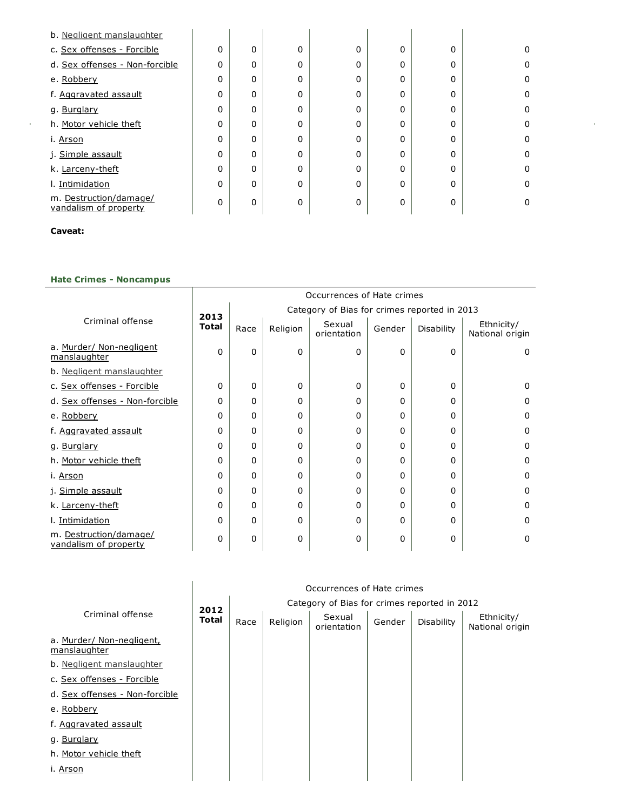| b. Negligent manslaughter                       |   |              |          |          |              |   |          |
|-------------------------------------------------|---|--------------|----------|----------|--------------|---|----------|
| c. Sex offenses - Forcible                      | 0 | $\Omega$     | $\Omega$ | $\Omega$ | 0            | 0 | 0        |
| d. Sex offenses - Non-forcible                  | 0 | $\Omega$     | $\Omega$ | $\Omega$ | $\mathbf{0}$ | 0 | 0        |
| e. Robbery                                      | 0 | 0            | 0        | 0        | $\mathbf{0}$ | 0 | 0        |
| f. Aggravated assault                           | 0 | $\Omega$     | $\Omega$ | $\Omega$ | $\mathbf 0$  | 0 | $\Omega$ |
| g. Burglary                                     | 0 | $\Omega$     | $\Omega$ | $\Omega$ | $\mathbf{0}$ | 0 | 0        |
| h. Motor vehicle theft                          | 0 | $\Omega$     | $\Omega$ | $\Omega$ | $\mathbf 0$  | 0 | 0        |
| i. Arson                                        | 0 | 0            | $\Omega$ | $\Omega$ | $\mathbf{0}$ | 0 | $\Omega$ |
| j. Simple assault                               | 0 | $\Omega$     | $\Omega$ | $\Omega$ | $\mathbf{0}$ | 0 | $\Omega$ |
| k. Larceny-theft                                | 0 | $\Omega$     | $\Omega$ | $\Omega$ | $\mathbf{0}$ | 0 | $\Omega$ |
| I. Intimidation                                 | 0 | $\Omega$     | $\Omega$ | $\Omega$ | $\Omega$     | 0 | $\Omega$ |
| m. Destruction/damage/<br>vandalism of property | 0 | $\mathbf{0}$ | $\Omega$ | 0        | $\mathbf{0}$ | 0 | 0        |

ł,

## Caveat:

 $\hat{\boldsymbol{\beta}}$ 

### Hate Crimes - Noncampus

|                                                 | Occurrences of Hate crimes |                                              |          |                       |        |            |                               |  |
|-------------------------------------------------|----------------------------|----------------------------------------------|----------|-----------------------|--------|------------|-------------------------------|--|
|                                                 | 2013                       | Category of Bias for crimes reported in 2013 |          |                       |        |            |                               |  |
| Criminal offense                                | <b>Total</b>               | Race                                         | Religion | Sexual<br>orientation | Gender | Disability | Ethnicity/<br>National origin |  |
| a. Murder/ Non-negligent<br>manslaughter        | 0                          | 0                                            | 0        | 0                     | 0      | 0          | 0                             |  |
| b. Negligent manslaughter                       |                            |                                              |          |                       |        |            |                               |  |
| c. Sex offenses - Forcible                      | 0                          | 0                                            | 0        | 0                     | 0      | 0          | 0                             |  |
| d. Sex offenses - Non-forcible                  | 0                          | 0                                            | 0        | 0                     | 0      | 0          | 0                             |  |
| e. Robbery                                      | 0                          | 0                                            | 0        | 0                     | 0      | 0          | 0                             |  |
| f. Aggravated assault                           | 0                          | 0                                            | 0        | 0                     | 0      | 0          | 0                             |  |
| g. Burglary                                     | 0                          | 0                                            | 0        | 0                     | 0      | 0          | 0                             |  |
| h. Motor vehicle theft                          | 0                          | 0                                            | 0        | 0                     | 0      | 0          | 0                             |  |
| i. Arson                                        | 0                          | 0                                            | 0        | 0                     | 0      | 0          | 0                             |  |
| j. Simple assault                               | 0                          | 0                                            | $\Omega$ | 0                     | 0      | 0          | $\Omega$                      |  |
| k. Larceny-theft                                | 0                          | 0                                            | 0        | 0                     | 0      | 0          | 0                             |  |
| I. Intimidation                                 | 0                          | 0                                            | 0        | 0                     | 0      | 0          | 0                             |  |
| m. Destruction/damage/<br>vandalism of property | 0                          | 0                                            | 0        | 0                     | 0      | 0          | $\Omega$                      |  |

|                                           | Occurrences of Hate crimes |      |                                              |                       |        |            |                               |  |  |  |
|-------------------------------------------|----------------------------|------|----------------------------------------------|-----------------------|--------|------------|-------------------------------|--|--|--|
|                                           | 2012                       |      | Category of Bias for crimes reported in 2012 |                       |        |            |                               |  |  |  |
| Criminal offense                          | Total                      | Race | Religion                                     | Sexual<br>orientation | Gender | Disability | Ethnicity/<br>National origin |  |  |  |
| a. Murder/ Non-negligent,<br>manslaughter |                            |      |                                              |                       |        |            |                               |  |  |  |
| b. Negligent manslaughter                 |                            |      |                                              |                       |        |            |                               |  |  |  |
| c. Sex offenses - Forcible                |                            |      |                                              |                       |        |            |                               |  |  |  |
| d. Sex offenses - Non-forcible            |                            |      |                                              |                       |        |            |                               |  |  |  |
| e. Robbery                                |                            |      |                                              |                       |        |            |                               |  |  |  |
| f. Aggravated assault                     |                            |      |                                              |                       |        |            |                               |  |  |  |
| g. Burglary                               |                            |      |                                              |                       |        |            |                               |  |  |  |
| h. Motor vehicle theft                    |                            |      |                                              |                       |        |            |                               |  |  |  |
| i. Arson                                  |                            |      |                                              |                       |        |            |                               |  |  |  |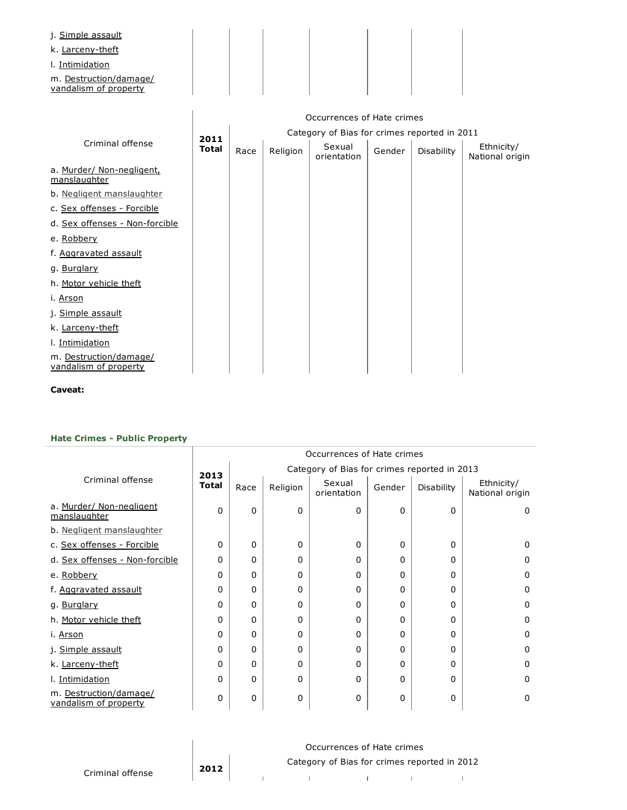| j. Simple assault<br>k. Larceny-theft           |  |  |  |
|-------------------------------------------------|--|--|--|
| I. Intimidation                                 |  |  |  |
| m. Destruction/damage/<br>vandalism of property |  |  |  |

|                                                 | Occurrences of Hate crimes |                                              |          |                       |        |                   |                               |  |  |
|-------------------------------------------------|----------------------------|----------------------------------------------|----------|-----------------------|--------|-------------------|-------------------------------|--|--|
|                                                 | 2011                       | Category of Bias for crimes reported in 2011 |          |                       |        |                   |                               |  |  |
| Criminal offense                                | <b>Total</b>               | Race                                         | Religion | Sexual<br>orientation | Gender | <b>Disability</b> | Ethnicity/<br>National origin |  |  |
| a. Murder/ Non-negligent,<br>manslaughter       |                            |                                              |          |                       |        |                   |                               |  |  |
| b. Negligent manslaughter                       |                            |                                              |          |                       |        |                   |                               |  |  |
| c. Sex offenses - Forcible                      |                            |                                              |          |                       |        |                   |                               |  |  |
| d. Sex offenses - Non-forcible                  |                            |                                              |          |                       |        |                   |                               |  |  |
| e. Robbery                                      |                            |                                              |          |                       |        |                   |                               |  |  |
| f. Aggravated assault                           |                            |                                              |          |                       |        |                   |                               |  |  |
| g. Burglary                                     |                            |                                              |          |                       |        |                   |                               |  |  |
| h. Motor vehicle theft                          |                            |                                              |          |                       |        |                   |                               |  |  |
| i. Arson                                        |                            |                                              |          |                       |        |                   |                               |  |  |
| j. Simple assault                               |                            |                                              |          |                       |        |                   |                               |  |  |
| k. Larceny-theft                                |                            |                                              |          |                       |        |                   |                               |  |  |
| I. Intimidation                                 |                            |                                              |          |                       |        |                   |                               |  |  |
| m. Destruction/damage/<br>vandalism of property |                            |                                              |          |                       |        |                   |                               |  |  |

## Hate Crimes - Public Property

|                                                 |              | Occurrences of Hate crimes                   |          |                       |              |            |                               |  |  |
|-------------------------------------------------|--------------|----------------------------------------------|----------|-----------------------|--------------|------------|-------------------------------|--|--|
|                                                 | 2013         | Category of Bias for crimes reported in 2013 |          |                       |              |            |                               |  |  |
| Criminal offense                                | <b>Total</b> | Race                                         | Religion | Sexual<br>orientation | Gender       | Disability | Ethnicity/<br>National origin |  |  |
| a. Murder/ Non-negligent<br>manslaughter        | 0            | $\Omega$                                     | 0        | 0                     | 0            | 0          | $\Omega$                      |  |  |
| b. Negligent manslaughter                       |              |                                              |          |                       |              |            |                               |  |  |
| c. Sex offenses - Forcible                      | 0            | 0                                            | 0        | 0                     | 0            | 0          | 0                             |  |  |
| d. Sex offenses - Non-forcible                  | 0            | 0                                            | 0        | 0                     | 0            | 0          | 0                             |  |  |
| e. Robbery                                      | 0            | $\Omega$                                     | 0        | 0                     | 0            | 0          | $\Omega$                      |  |  |
| f. Aggravated assault                           | 0            | $\Omega$                                     | 0        | 0                     | 0            | 0          | 0                             |  |  |
| g. Burglary                                     | 0            | $\Omega$                                     | 0        | 0                     | 0            | 0          | 0                             |  |  |
| h. Motor vehicle theft                          | 0            | 0                                            | 0        | 0                     | 0            | 0          | 0                             |  |  |
| i. <u>Arson</u>                                 | 0            | $\Omega$                                     | $\Omega$ | 0                     | $\Omega$     | 0          | 0                             |  |  |
| j. Simple assault                               | 0            | $\Omega$                                     | $\Omega$ | 0                     | $\Omega$     | $\Omega$   | 0                             |  |  |
| k. Larceny-theft                                | 0            | $\Omega$                                     | 0        | 0                     | 0            | 0          | 0                             |  |  |
| I. Intimidation                                 | 0            | 0                                            | 0        | 0                     | 0            | 0          | $\Omega$                      |  |  |
| m. Destruction/damage/<br>vandalism of property | 0            | $\Omega$                                     | 0        | 0                     | $\mathbf{0}$ | 0          | 0                             |  |  |

|                  | Occurrences of Hate crimes |  |                                              |  |  |  |  |  |  |
|------------------|----------------------------|--|----------------------------------------------|--|--|--|--|--|--|
|                  | 2012                       |  | Category of Bias for crimes reported in 2012 |  |  |  |  |  |  |
| Criminal offense |                            |  |                                              |  |  |  |  |  |  |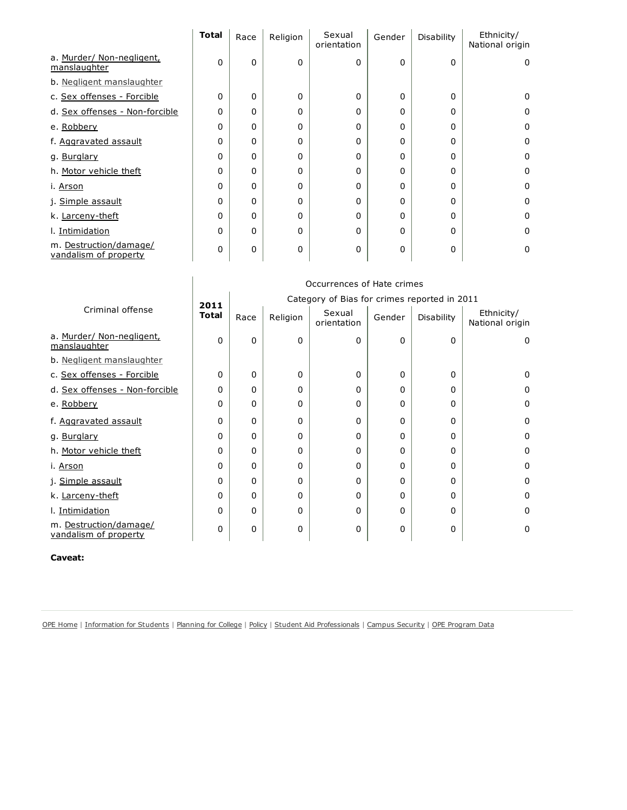|                                                 | <b>Total</b> | Race         | Religion | Sexual<br>orientation | Gender   | Disability   | Ethnicity/<br>National origin |
|-------------------------------------------------|--------------|--------------|----------|-----------------------|----------|--------------|-------------------------------|
| a. Murder/ Non-negligent,<br>manslaughter       | $\Omega$     | 0            | $\Omega$ | $\mathbf{0}$          | 0        | 0            | 0                             |
| b. Negligent manslaughter                       |              |              |          |                       |          |              |                               |
| c. Sex offenses - Forcible                      | $\Omega$     | $\Omega$     | $\Omega$ | 0                     | $\Omega$ | $\Omega$     | 0                             |
| d. Sex offenses - Non-forcible                  | $\Omega$     | $\Omega$     | 0        | 0                     | 0        | 0            | 0                             |
| e. Robbery                                      | $\Omega$     | $\Omega$     | $\Omega$ | 0                     | 0        | 0            | $\mathbf 0$                   |
| f. Aggravated assault                           | $\Omega$     | 0            | 0        | 0                     | 0        | 0            | 0                             |
| g. Burglary                                     | $\mathbf 0$  | $\mathbf{0}$ | 0        | 0                     | 0        | $\Omega$     | 0                             |
| h. Motor vehicle theft                          | $\Omega$     | $\Omega$     | 0        | 0                     | $\Omega$ | 0            | 0                             |
| i. <u>Arson</u>                                 | 0            | $\Omega$     | $\Omega$ | 0                     | 0        | 0            | $\mathbf 0$                   |
| j. Simple assault                               | $\Omega$     | $\mathbf{0}$ | 0        | 0                     | 0        | 0            | 0                             |
| k. Larceny-theft                                | $\Omega$     | $\Omega$     | 0        | 0                     | $\Omega$ | 0            | 0                             |
| I. Intimidation                                 | $\Omega$     | $\Omega$     | $\Omega$ | 0                     | 0        | 0            | $\mathbf 0$                   |
| m. Destruction/damage/<br>vandalism of property | 0            | $\mathbf{0}$ | $\Omega$ | 0                     | 0        | $\mathbf{0}$ | $\mathbf 0$                   |

|                                                 | Occurrences of Hate crimes |                                              |          |                       |              |            |                               |  |  |
|-------------------------------------------------|----------------------------|----------------------------------------------|----------|-----------------------|--------------|------------|-------------------------------|--|--|
|                                                 | 2011                       | Category of Bias for crimes reported in 2011 |          |                       |              |            |                               |  |  |
| Criminal offense                                | <b>Total</b>               | Race                                         | Religion | Sexual<br>orientation | Gender       | Disability | Ethnicity/<br>National origin |  |  |
| a. Murder/ Non-negligent,<br>manslaughter       | 0                          | $\Omega$                                     | $\Omega$ | $\Omega$              | $\mathbf{0}$ | $\Omega$   | 0                             |  |  |
| b. Negligent manslaughter                       |                            |                                              |          |                       |              |            |                               |  |  |
| c. Sex offenses - Forcible                      | 0                          | $\Omega$                                     | $\Omega$ | $\mathbf{0}$          | $\Omega$     | 0          | 0                             |  |  |
| d. Sex offenses - Non-forcible                  | 0                          | $\Omega$                                     | 0        | 0                     | 0            | 0          | 0                             |  |  |
| e. Robbery                                      | 0                          | $\Omega$                                     | 0        | 0                     | 0            | 0          | 0                             |  |  |
| f. Aggravated assault                           | 0                          | $\Omega$                                     | 0        | $\Omega$              | $\Omega$     | 0          | 0                             |  |  |
| g. Burglary                                     | 0                          | $\Omega$                                     | 0        | 0                     | $\Omega$     | 0          | 0                             |  |  |
| h. Motor vehicle theft                          | 0                          | $\Omega$                                     | 0        | 0                     | 0            | 0          | 0                             |  |  |
| i. Arson                                        | 0                          | $\Omega$                                     | 0        | 0                     | 0            | 0          | 0                             |  |  |
| j. Simple assault                               | 0                          | $\Omega$                                     | $\Omega$ | $\Omega$              | $\Omega$     | 0          | $\Omega$                      |  |  |
| k. Larceny-theft                                | 0                          | $\Omega$                                     | $\Omega$ | $\Omega$              | 0            | 0          | $\Omega$                      |  |  |
| I. Intimidation                                 | 0                          | $\Omega$                                     | 0        | 0                     | $\Omega$     | 0          | $\Omega$                      |  |  |
| m. Destruction/damage/<br>vandalism of property | 0                          | 0                                            | $\Omega$ | 0                     | 0            | 0          | 0                             |  |  |

OPE [Home](http://www.ed.gov/about/offices/list/ope/index.html) | [Information](http://www2.ed.gov/students/prep/college/index.html) for Students | [Planning](http://www.ed.gov/about/offices/list/ope/plan.html) for College | [Policy](http://www.ed.gov/about/offices/list/ope/policy.html) | Student Aid [Professionals](http://www.ed.gov/about/offices/list/fsa/index.html) | Campus [Security](http://www.ed.gov/admins/lead/safety/campus.html) | OPE [Program](http://www.ed.gov/finaid/prof/resources/data/ope.html) Data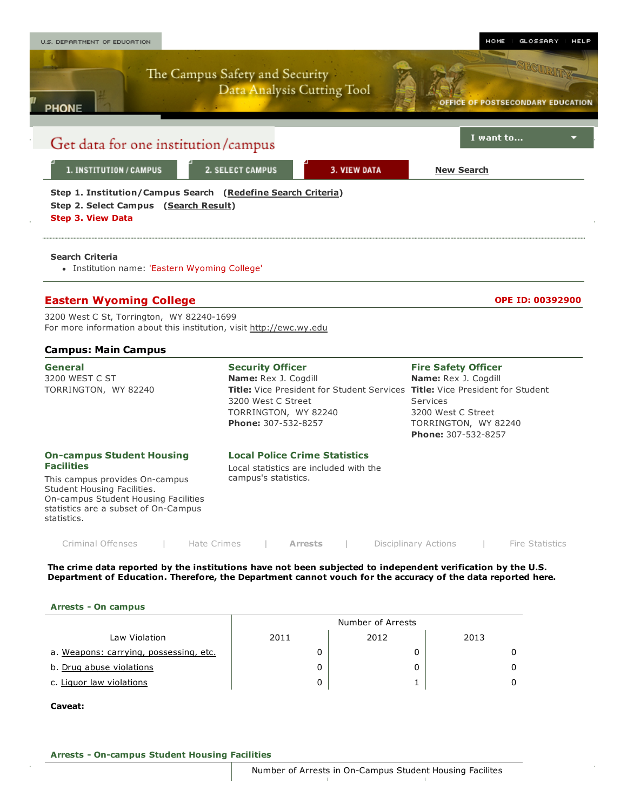

### The crime data reported by the institutions have not been subjected to independent verification by the U.S. Department of Education. Therefore, the Department cannot vouch for the accuracy of the data reported here.

#### Arrests - On campus

|                                        | Number of Arrests |      |      |  |  |  |  |  |  |
|----------------------------------------|-------------------|------|------|--|--|--|--|--|--|
| Law Violation                          | 2011              | 2012 | 2013 |  |  |  |  |  |  |
| a. Weapons: carrying, possessing, etc. |                   |      |      |  |  |  |  |  |  |
| b. Drug abuse violations               |                   |      |      |  |  |  |  |  |  |
| c. Liguor law violations               | 0                 |      |      |  |  |  |  |  |  |

#### Caveat: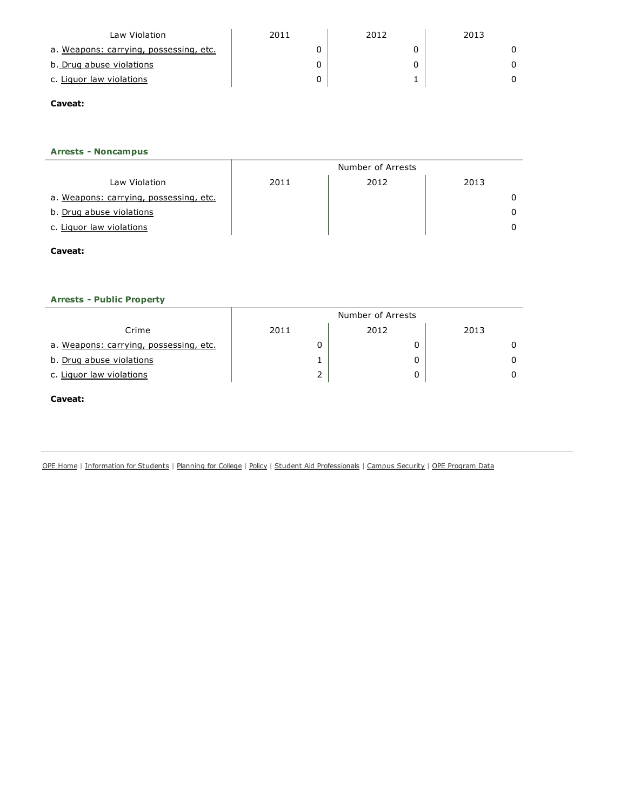| Law Violation                          | 2011 | 2012 | 2013 |
|----------------------------------------|------|------|------|
| a. Weapons: carrying, possessing, etc. |      |      |      |
| b. Drug abuse violations               |      |      |      |
| c. Liguor law violations               |      |      |      |

## Arrests - Noncampus

|                                        | Number of Arrests |      |      |  |  |  |
|----------------------------------------|-------------------|------|------|--|--|--|
| Law Violation                          | 2011              | 2012 | 2013 |  |  |  |
| a. Weapons: carrying, possessing, etc. |                   |      |      |  |  |  |
| b. Drug abuse violations               |                   |      |      |  |  |  |
| c. Liquor law violations               |                   |      |      |  |  |  |

### Caveat:

## **Arrests - Public Property**

|                                        | Number of Arrests |      |      |  |  |  |  |  |
|----------------------------------------|-------------------|------|------|--|--|--|--|--|
| Crime                                  | 2011              | 2012 | 2013 |  |  |  |  |  |
| a. Weapons: carrying, possessing, etc. |                   |      |      |  |  |  |  |  |
| b. Drug abuse violations               |                   |      |      |  |  |  |  |  |
| c. Liguor law violations               | ∠                 | 0    |      |  |  |  |  |  |

### Caveat:

OPE [Home](http://www.ed.gov/about/offices/list/ope/index.html) | [Information](http://www2.ed.gov/students/prep/college/index.html) for Students | [Planning](http://www.ed.gov/about/offices/list/ope/plan.html) for College | [Policy](http://www.ed.gov/about/offices/list/ope/policy.html) | Student Aid [Professionals](http://www.ed.gov/about/offices/list/fsa/index.html) | Campus [Security](http://www.ed.gov/admins/lead/safety/campus.html) | OPE [Program](http://www.ed.gov/finaid/prof/resources/data/ope.html) Data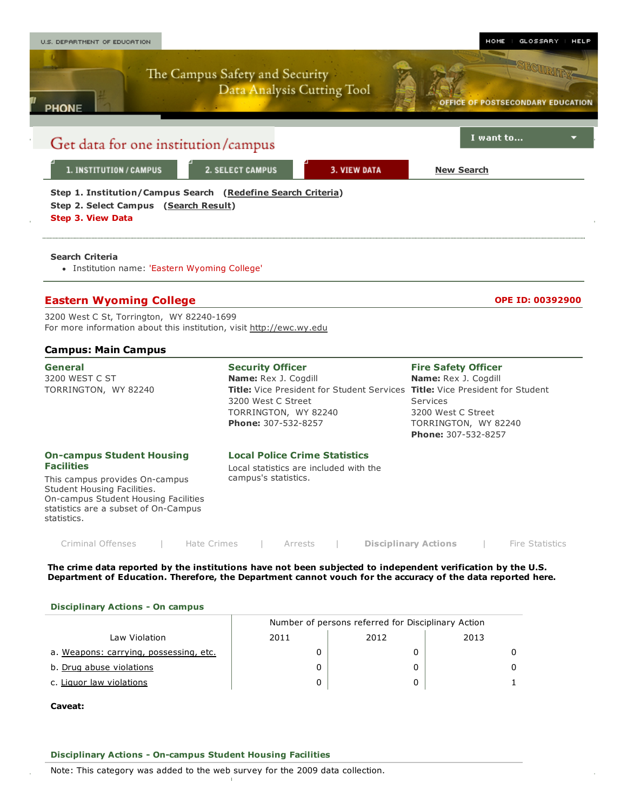

#### The crime data reported by the institutions have not been subjected to independent verification by the U.S. Department of Education. Therefore, the Department cannot vouch for the accuracy of the data reported here.

#### Disciplinary Actions - On campus

|                                        | Number of persons referred for Disciplinary Action |      |      |  |  |  |  |  |
|----------------------------------------|----------------------------------------------------|------|------|--|--|--|--|--|
| Law Violation                          | 2011                                               | 2012 | 2013 |  |  |  |  |  |
| a. Weapons: carrying, possessing, etc. |                                                    |      |      |  |  |  |  |  |
| b. Drug abuse violations               |                                                    |      |      |  |  |  |  |  |
| c. Liquor law violations               |                                                    |      |      |  |  |  |  |  |

#### Caveat:

#### Disciplinary Actions - On-campus Student Housing Facilities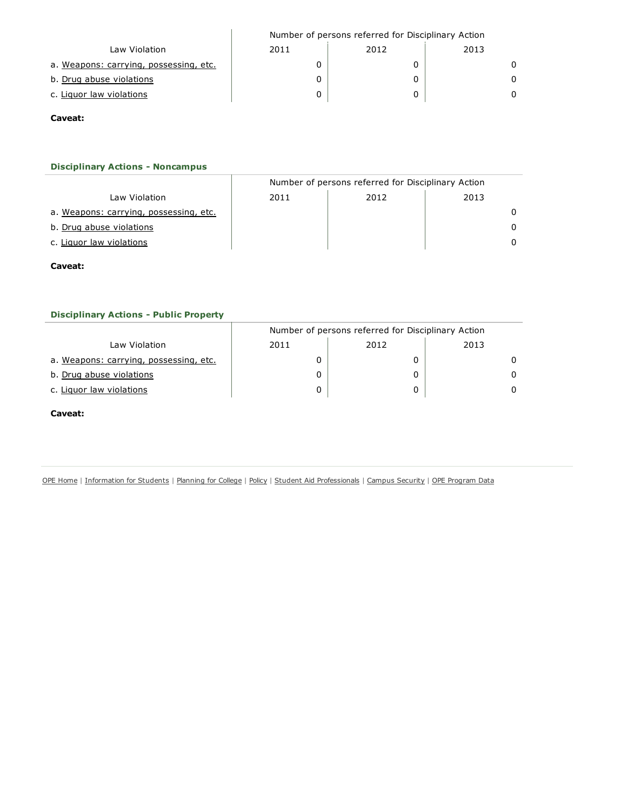|                                        | Number of persons referred for Disciplinary Action |      |      |  |  |  |  |
|----------------------------------------|----------------------------------------------------|------|------|--|--|--|--|
| Law Violation                          | 2011                                               | 2012 | 2013 |  |  |  |  |
| a. Weapons: carrying, possessing, etc. |                                                    |      | 0    |  |  |  |  |
| b. Drug abuse violations               |                                                    |      | 0    |  |  |  |  |
| c. Liguor law violations               |                                                    |      | 0    |  |  |  |  |

## **Disciplinary Actions - Noncampus**

|                                        | Number of persons referred for Disciplinary Action |      |              |  |  |  |  |
|----------------------------------------|----------------------------------------------------|------|--------------|--|--|--|--|
| Law Violation                          | 2011                                               | 2012 | 2013         |  |  |  |  |
| a. Weapons: carrying, possessing, etc. |                                                    |      |              |  |  |  |  |
| b. Drug abuse violations               |                                                    |      | <sup>0</sup> |  |  |  |  |
| c. Liguor law violations               |                                                    |      |              |  |  |  |  |

# Caveat:

### **Disciplinary Actions - Public Property**

|                                        | Number of persons referred for Disciplinary Action |      |      |  |  |  |  |  |
|----------------------------------------|----------------------------------------------------|------|------|--|--|--|--|--|
| Law Violation                          | 2011                                               | 2012 | 2013 |  |  |  |  |  |
| a. Weapons: carrying, possessing, etc. |                                                    |      |      |  |  |  |  |  |
| b. Drug abuse violations               |                                                    |      |      |  |  |  |  |  |
| c. Liquor law violations               |                                                    |      |      |  |  |  |  |  |

### Caveat:

OPE [Home](http://www.ed.gov/about/offices/list/ope/index.html) | [Information](http://www2.ed.gov/students/prep/college/index.html) for Students | [Planning](http://www.ed.gov/about/offices/list/ope/plan.html) for College | [Policy](http://www.ed.gov/about/offices/list/ope/policy.html) | Student Aid [Professionals](http://www.ed.gov/about/offices/list/fsa/index.html) | Campus [Security](http://www.ed.gov/admins/lead/safety/campus.html) | OPE [Program](http://www.ed.gov/finaid/prof/resources/data/ope.html) Data